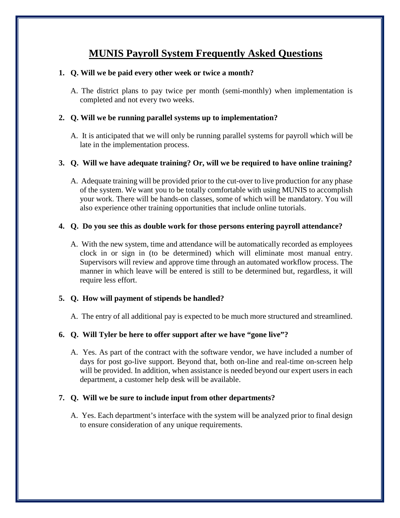# **MUNIS Payroll System Frequently Asked Questions**

## **1. Q. Will we be paid every other week or twice a month?**

A. The district plans to pay twice per month (semi-monthly) when implementation is completed and not every two weeks.

## **2. Q. Will we be running parallel systems up to implementation?**

A. It is anticipated that we will only be running parallel systems for payroll which will be late in the implementation process.

## **3. Q. Will we have adequate training? Or, will we be required to have online training?**

A. Adequate training will be provided prior to the cut-over to live production for any phase of the system. We want you to be totally comfortable with using MUNIS to accomplish your work. There will be hands-on classes, some of which will be mandatory. You will also experience other training opportunities that include online tutorials.

## **4. Q. Do you see this as double work for those persons entering payroll attendance?**

A. With the new system, time and attendance will be automatically recorded as employees clock in or sign in (to be determined) which will eliminate most manual entry. Supervisors will review and approve time through an automated workflow process. The manner in which leave will be entered is still to be determined but, regardless, it will require less effort.

## **5. Q. How will payment of stipends be handled?**

A. The entry of all additional pay is expected to be much more structured and streamlined.

#### **6. Q. Will Tyler be here to offer support after we have "gone live"?**

A. Yes. As part of the contract with the software vendor, we have included a number of days for post go-live support. Beyond that, both on-line and real-time on-screen help will be provided. In addition, when assistance is needed beyond our expert users in each department, a customer help desk will be available.

#### **7. Q. Will we be sure to include input from other departments?**

A. Yes. Each department's interface with the system will be analyzed prior to final design to ensure consideration of any unique requirements.